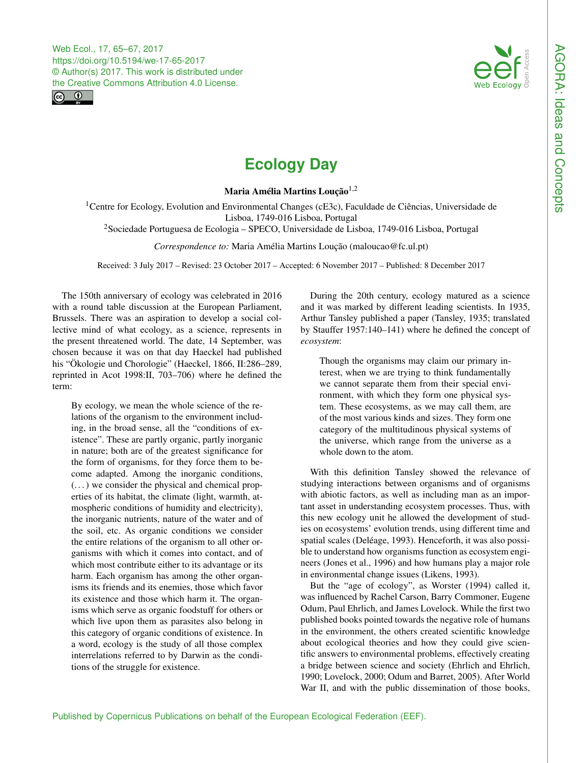<span id="page-0-1"></span>



## **Ecology Day**

Maria Amélia Martins Loução $1,2$ 

<sup>1</sup>Centre for Ecology, Evolution and Environmental Changes (cE3c), Faculdade de Ciências, Universidade de Lisboa, 1749-016 Lisboa, Portugal

<sup>2</sup>Sociedade Portuguesa de Ecologia – SPECO, Universidade de Lisboa, 1749-016 Lisboa, Portugal

*Correspondence to:* Maria Amélia Martins Loução (maloucao@fc.ul.pt)

Received: 3 July 2017 – Revised: 23 October 2017 – Accepted: 6 November 2017 – Published: 8 December 2017

<span id="page-0-0"></span>The 150th anniversary of ecology was celebrated in 2016 with a round table discussion at the European Parliament, Brussels. There was an aspiration to develop a social collective mind of what ecology, as a science, represents in the present threatened world. The date, 14 September, was chosen because it was on that day Haeckel had published his "Ökologie und Chorologie" (Haeckel, 1866, II:286–289, reprinted in Acot 1998:II, 703–706) where he defined the term:

By ecology, we mean the whole science of the relations of the organism to the environment including, in the broad sense, all the "conditions of existence". These are partly organic, partly inorganic in nature; both are of the greatest significance for the form of organisms, for they force them to become adapted. Among the inorganic conditions, (. . . ) we consider the physical and chemical properties of its habitat, the climate (light, warmth, atmospheric conditions of humidity and electricity), the inorganic nutrients, nature of the water and of the soil, etc. As organic conditions we consider the entire relations of the organism to all other organisms with which it comes into contact, and of which most contribute either to its advantage or its harm. Each organism has among the other organisms its friends and its enemies, those which favor its existence and those which harm it. The organisms which serve as organic foodstuff for others or which live upon them as parasites also belong in this category of organic conditions of existence. In a word, ecology is the study of all those complex interrelations referred to by Darwin as the conditions of the struggle for existence.

During the 20th century, ecology matured as a science and it was marked by different leading scientists. In 1935, Arthur Tansley published a paper (Tansley, 1935; translated by Stauffer 1957:140–141) where he defined the concept of *ecosystem*:

Though the organisms may claim our primary interest, when we are trying to think fundamentally we cannot separate them from their special environment, with which they form one physical system. These ecosystems, as we may call them, are of the most various kinds and sizes. They form one category of the multitudinous physical systems of the universe, which range from the universe as a whole down to the atom.

With this definition Tansley showed the relevance of studying interactions between organisms and of organisms with abiotic factors, as well as including man as an important asset in understanding ecosystem processes. Thus, with this new ecology unit he allowed the development of studies on ecosystems' evolution trends, using different time and spatial scales (Deléage, 1993). Henceforth, it was also possible to understand how organisms function as ecosystem engineers (Jones et al., 1996) and how humans play a major role in environmental change issues (Likens, 1993).

But the "age of ecology", as Worster (1994) called it, was influenced by Rachel Carson, Barry Commoner, Eugene Odum, Paul Ehrlich, and James Lovelock. While the first two published books pointed towards the negative role of humans in the environment, the others created scientific knowledge about ecological theories and how they could give scientific answers to environmental problems, effectively creating a bridge between science and society (Ehrlich and Ehrlich, 1990; Lovelock, 2000; Odum and Barret, 2005). After World War II, and with the public dissemination of those books,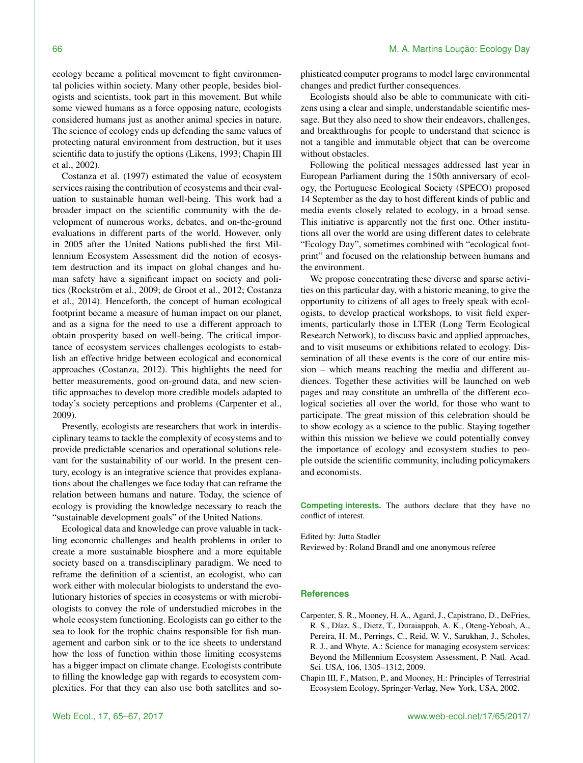ecology became a political movement to fight environmental policies within society. Many other people, besides biologists and scientists, took part in this movement. But while some viewed humans as a force opposing nature, ecologists considered humans just as another animal species in nature. The science of ecology ends up defending the same values of protecting natural environment from destruction, but it uses scientific data to justify the options (Likens, 1993; Chapin III et al., 2002).

Costanza et al. (1997) estimated the value of ecosystem services raising the contribution of ecosystems and their evaluation to sustainable human well-being. This work had a broader impact on the scientific community with the development of numerous works, debates, and on-the-ground evaluations in different parts of the world. However, only in 2005 after the United Nations published the first Millennium Ecosystem Assessment did the notion of ecosystem destruction and its impact on global changes and human safety have a significant impact on society and politics (Rockström et al., 2009; de Groot et al., 2012; Costanza et al., 2014). Henceforth, the concept of human ecological footprint became a measure of human impact on our planet, and as a signa for the need to use a different approach to obtain prosperity based on well-being. The critical importance of ecosystem services challenges ecologists to establish an effective bridge between ecological and economical approaches (Costanza, 2012). This highlights the need for better measurements, good on-ground data, and new scientific approaches to develop more credible models adapted to today's society perceptions and problems (Carpenter et al., 2009).

Presently, ecologists are researchers that work in interdisciplinary teams to tackle the complexity of ecosystems and to provide predictable scenarios and operational solutions relevant for the sustainability of our world. In the present century, ecology is an integrative science that provides explanations about the challenges we face today that can reframe the relation between humans and nature. Today, the science of ecology is providing the knowledge necessary to reach the "sustainable development goals" of the United Nations.

Ecological data and knowledge can prove valuable in tackling economic challenges and health problems in order to create a more sustainable biosphere and a more equitable society based on a transdisciplinary paradigm. We need to reframe the definition of a scientist, an ecologist, who can work either with molecular biologists to understand the evolutionary histories of species in ecosystems or with microbiologists to convey the role of understudied microbes in the whole ecosystem functioning. Ecologists can go either to the sea to look for the trophic chains responsible for fish management and carbon sink or to the ice sheets to understand how the loss of function within those limiting ecosystems has a bigger impact on climate change. Ecologists contribute to filling the knowledge gap with regards to ecosystem complexities. For that they can also use both satellites and sophisticated computer programs to model large environmental changes and predict further consequences.

Ecologists should also be able to communicate with citizens using a clear and simple, understandable scientific message. But they also need to show their endeavors, challenges, and breakthroughs for people to understand that science is not a tangible and immutable object that can be overcome without obstacles.

Following the political messages addressed last year in European Parliament during the 150th anniversary of ecology, the Portuguese Ecological Society (SPECO) proposed 14 September as the day to host different kinds of public and media events closely related to ecology, in a broad sense. This initiative is apparently not the first one. Other institutions all over the world are using different dates to celebrate "Ecology Day", sometimes combined with "ecological footprint" and focused on the relationship between humans and the environment.

We propose concentrating these diverse and sparse activities on this particular day, with a historic meaning, to give the opportunity to citizens of all ages to freely speak with ecologists, to develop practical workshops, to visit field experiments, particularly those in LTER (Long Term Ecological Research Network), to discuss basic and applied approaches, and to visit museums or exhibitions related to ecology. Dissemination of all these events is the core of our entire mission – which means reaching the media and different audiences. Together these activities will be launched on web pages and may constitute an umbrella of the different ecological societies all over the world, for those who want to participate. The great mission of this celebration should be to show ecology as a science to the public. Staying together within this mission we believe we could potentially convey the importance of ecology and ecosystem studies to people outside the scientific community, including policymakers and economists.

**Competing interests.** The authors declare that they have no conflict of interest.

Edited by: Jutta Stadler Reviewed by: Roland Brandl and one anonymous referee

## **References**

- Carpenter, S. R., Mooney, H. A., Agard, J., Capistrano, D., DeFries, R. S., Díaz, S., Dietz, T., Duraiappah, A. K., Oteng-Yeboah, A., Pereira, H. M., Perrings, C., Reid, W. V., Sarukhan, J., Scholes, R. J., and Whyte, A.: Science for managing ecosystem services: Beyond the Millennium Ecosystem Assessment, P. Natl. Acad. Sci. USA, 106, 1305–1312, 2009.
- Chapin III, F., Matson, P., and Mooney, H.: Principles of Terrestrial Ecosystem Ecology, Springer-Verlag, New York, USA, 2002.